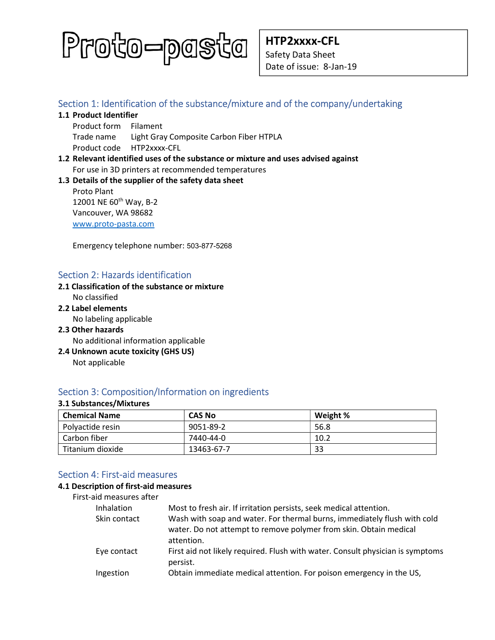

HTP2xxxx-CFL Safety Data Sheet Date of issue: 8-Jan-19

# Section 1: Identification of the substance/mixture and of the company/undertaking

- 1.1 Product Identifier
	- Product form Filament Trade name Light Gray Composite Carbon Fiber HTPLA Product code HTP2xxxx-CFL
- 1.2 Relevant identified uses of the substance or mixture and uses advised against For use in 3D printers at recommended temperatures

## 1.3 Details of the supplier of the safety data sheet

Proto Plant 12001 NE 60<sup>th</sup> Way, B-2 Vancouver, WA 98682 www.proto-pasta.com

Emergency telephone number: 503-877-5268

# Section 2: Hazards identification

#### 2.1 Classification of the substance or mixture No classified

2.2 Label elements

No labeling applicable

- 2.3 Other hazards No additional information applicable
- 2.4 Unknown acute toxicity (GHS US) Not applicable

# Section 3: Composition/Information on ingredients

#### 3.1 Substances/Mixtures

| <b>Chemical Name</b> | <b>CAS No</b> | Weight % |
|----------------------|---------------|----------|
| Polyactide resin     | 9051-89-2     | 56.8     |
| Carbon fiber         | 7440-44-0     | 10.2     |
| Titanium dioxide     | 13463-67-7    | 33       |

# Section 4: First-aid measures

#### 4.1 Description of first-aid measures

| Inhalation   | Most to fresh air. If irritation persists, seek medical attention.                                                                            |
|--------------|-----------------------------------------------------------------------------------------------------------------------------------------------|
| Skin contact | Wash with soap and water. For thermal burns, immediately flush with cold<br>water. Do not attempt to remove polymer from skin. Obtain medical |
|              | attention.                                                                                                                                    |
| Eye contact  | First aid not likely required. Flush with water. Consult physician is symptoms<br>persist.                                                    |
| Ingestion    | Obtain immediate medical attention. For poison emergency in the US,                                                                           |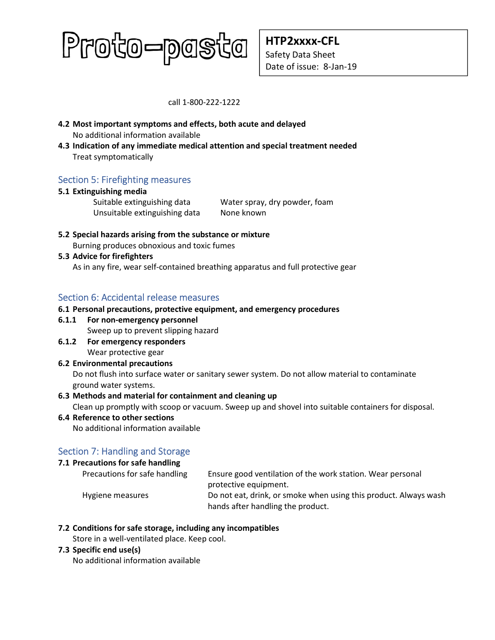# Proto-pasta

HTP2xxxx-CFL Safety Data Sheet Date of issue: 8-Jan-19

call 1-800-222-1222

- 4.2 Most important symptoms and effects, both acute and delayed No additional information available
- 4.3 Indication of any immediate medical attention and special treatment needed Treat symptomatically

# Section 5: Firefighting measures

## 5.1 Extinguishing media

Unsuitable extinguishing data None known

Suitable extinguishing data Water spray, dry powder, foam

5.2 Special hazards arising from the substance or mixture Burning produces obnoxious and toxic fumes

## 5.3 Advice for firefighters

As in any fire, wear self-contained breathing apparatus and full protective gear

# Section 6: Accidental release measures

## 6.1 Personal precautions, protective equipment, and emergency procedures

6.1.1 For non-emergency personnel

Sweep up to prevent slipping hazard

6.1.2 For emergency responders Wear protective gear

# 6.2 Environmental precautions

Do not flush into surface water or sanitary sewer system. Do not allow material to contaminate ground water systems.

## 6.3 Methods and material for containment and cleaning up

Clean up promptly with scoop or vacuum. Sweep up and shovel into suitable containers for disposal.

## 6.4 Reference to other sections

No additional information available

# Section 7: Handling and Storage

## 7.1 Precautions for safe handling

| Precautions for safe handling | Ensure good ventilation of the work station. Wear personal       |
|-------------------------------|------------------------------------------------------------------|
|                               | protective equipment.                                            |
| Hygiene measures              | Do not eat, drink, or smoke when using this product. Always wash |
|                               | hands after handling the product.                                |

## 7.2 Conditions for safe storage, including any incompatibles

Store in a well-ventilated place. Keep cool.

#### 7.3 Specific end use(s)

No additional information available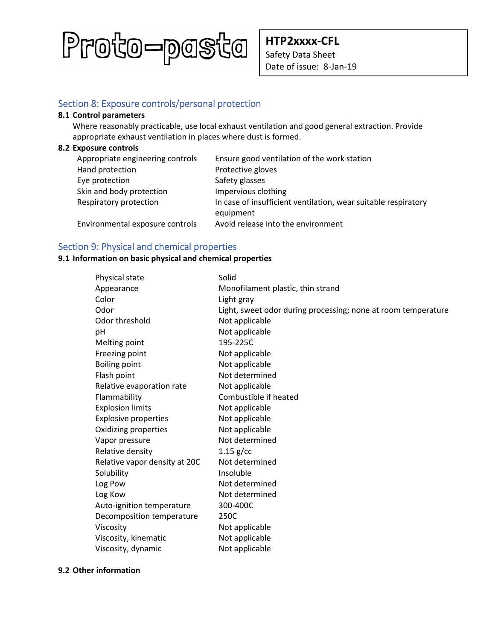

HTP2xxxx-CFL Safety Data Sheet Date of issue: 8-Jan-19

# Section 8: Exposure controls/personal protection

#### 8.1 Control parameters

Where reasonably practicable, use local exhaust ventilation and good general extraction. Provide appropriate exhaust ventilation in places where dust is formed.

#### 8.2 Exposure controls

| Appropriate engineering controls | Ensure good ventilation of the work station                                 |
|----------------------------------|-----------------------------------------------------------------------------|
| Hand protection                  | Protective gloves                                                           |
| Eye protection                   | Safety glasses                                                              |
| Skin and body protection         | Impervious clothing                                                         |
| Respiratory protection           | In case of insufficient ventilation, wear suitable respiratory<br>equipment |
| Environmental exposure controls  | Avoid release into the environment                                          |

# Section 9: Physical and chemical properties

## 9.1 Information on basic physical and chemical properties

| Physical state                | Solid                                                         |
|-------------------------------|---------------------------------------------------------------|
| Appearance                    | Monofilament plastic, thin strand                             |
| Color                         | Light gray                                                    |
| Odor                          | Light, sweet odor during processing; none at room temperature |
| Odor threshold                | Not applicable                                                |
| рH                            | Not applicable                                                |
| Melting point                 | 195-225C                                                      |
| Freezing point                | Not applicable                                                |
| <b>Boiling point</b>          | Not applicable                                                |
| Flash point                   | Not determined                                                |
| Relative evaporation rate     | Not applicable                                                |
| Flammability                  | Combustible if heated                                         |
| <b>Explosion limits</b>       | Not applicable                                                |
| <b>Explosive properties</b>   | Not applicable                                                |
| Oxidizing properties          | Not applicable                                                |
| Vapor pressure                | Not determined                                                |
| Relative density              | $1.15$ g/cc                                                   |
| Relative vapor density at 20C | Not determined                                                |
| Solubility                    | Insoluble                                                     |
| Log Pow                       | Not determined                                                |
| Log Kow                       | Not determined                                                |
| Auto-ignition temperature     | 300-400C                                                      |
| Decomposition temperature     | 250C                                                          |
| Viscosity                     | Not applicable                                                |
| Viscosity, kinematic          | Not applicable                                                |
| Viscosity, dynamic            | Not applicable                                                |

#### 9.2 Other information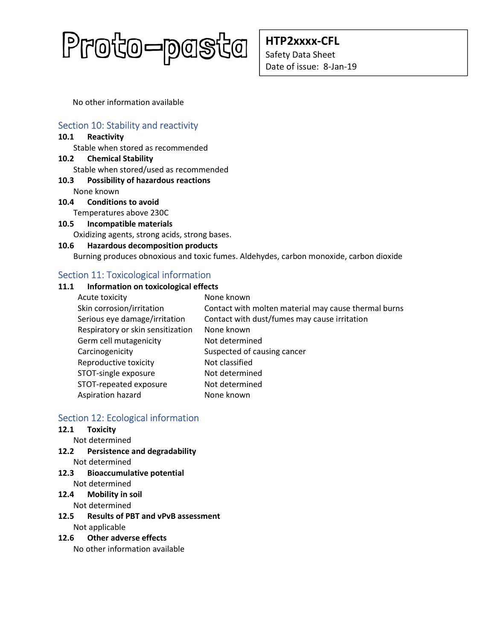

HTP2xxxx-CFL Safety Data Sheet Date of issue: 8-Jan-19

No other information available

# Section 10: Stability and reactivity

#### 10.1 Reactivity

Stable when stored as recommended

10.2 Chemical Stability Stable when stored/used as recommended

# 10.3 Possibility of hazardous reactions

None known

- 10.4 Conditions to avoid Temperatures above 230C
- 10.5 Incompatible materials

Oxidizing agents, strong acids, strong bases.

#### 10.6 Hazardous decomposition products

Burning produces obnoxious and toxic fumes. Aldehydes, carbon monoxide, carbon dioxide

# Section 11: Toxicological information

## 11.1 Information on toxicological effects

| Acute toxicity                    | None known                                           |
|-----------------------------------|------------------------------------------------------|
| Skin corrosion/irritation         | Contact with molten material may cause thermal burns |
| Serious eye damage/irritation     | Contact with dust/fumes may cause irritation         |
| Respiratory or skin sensitization | None known                                           |
| Germ cell mutagenicity            | Not determined                                       |
| Carcinogenicity                   | Suspected of causing cancer                          |
| Reproductive toxicity             | Not classified                                       |
| STOT-single exposure              | Not determined                                       |
| STOT-repeated exposure            | Not determined                                       |
| Aspiration hazard                 | None known                                           |

# Section 12: Ecological information

## 12.1 Toxicity

- Not determined
- 12.2 Persistence and degradability Not determined
- 12.3 Bioaccumulative potential Not determined

## 12.4 Mobility in soil

Not determined

12.5 Results of PBT and vPvB assessment Not applicable

## 12.6 Other adverse effects

No other information available